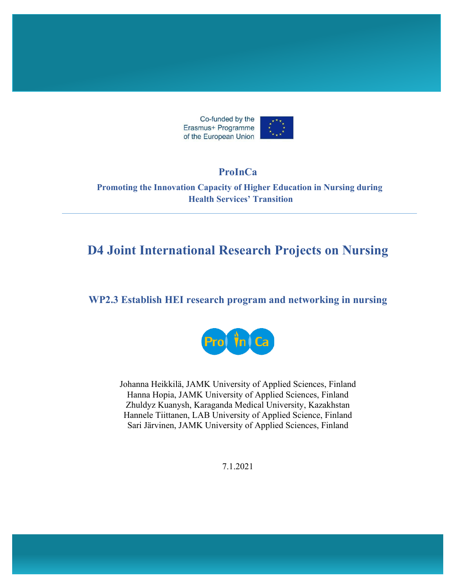

#### **ProInCa**

**Promoting the Innovation Capacity of Higher Education in Nursing during Health Services' Transition**

## **D4 Joint International Research Projects on Nursing**

#### **WP2.3 Establish HEI research program and networking in nursing**



Johanna Heikkilä, JAMK University of Applied Sciences, Finland Hanna Hopia, JAMK University of Applied Sciences, Finland Zhuldyz Kuanysh, Karaganda Medical University, Kazakhstan Hannele Tiittanen, LAB University of Applied Science, Finland Sari Järvinen, JAMK University of Applied Sciences, Finland

7.1.2021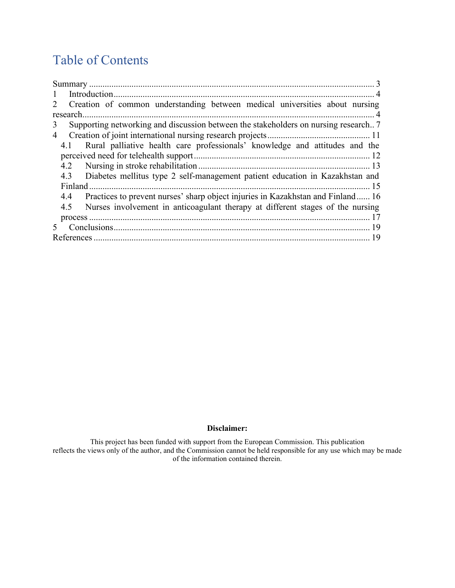## Table of Contents

| $\mathbf{1}$                                                                            |
|-----------------------------------------------------------------------------------------|
| 2 Creation of common understanding between medical universities about nursing           |
|                                                                                         |
| Supporting networking and discussion between the stakeholders on nursing research?<br>3 |
| 4                                                                                       |
| Rural palliative health care professionals' knowledge and attitudes and the<br>4.1      |
|                                                                                         |
|                                                                                         |
| 4.3 Diabetes mellitus type 2 self-management patient education in Kazakhstan and        |
|                                                                                         |
| 4.4 Practices to prevent nurses' sharp object injuries in Kazakhstan and Finland 16     |
| 4.5 Nurses involvement in anticoagulant therapy at different stages of the nursing      |
|                                                                                         |
|                                                                                         |
|                                                                                         |

#### **Disclaimer:**

This project has been funded with support from the European Commission. This publication reflects the views only of the author, and the Commission cannot be held responsible for any use which may be made of the information contained therein.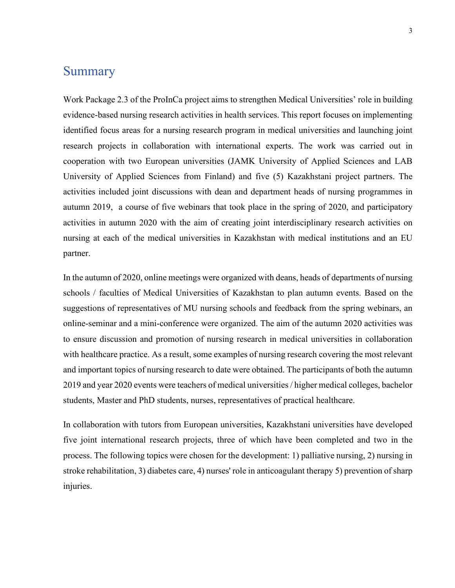#### <span id="page-2-0"></span>**Summary**

Work Package 2.3 of the ProInCa project aims to strengthen Medical Universities' role in building evidence-based nursing research activities in health services. This report focuses on implementing identified focus areas for a nursing research program in medical universities and launching joint research projects in collaboration with international experts. The work was carried out in cooperation with two European universities (JAMK University of Applied Sciences and LAB University of Applied Sciences from Finland) and five (5) Kazakhstani project partners. The activities included joint discussions with dean and department heads of nursing programmes in autumn 2019, a course of five webinars that took place in the spring of 2020, and participatory activities in autumn 2020 with the aim of creating joint interdisciplinary research activities on nursing at each of the medical universities in Kazakhstan with medical institutions and an EU partner.

In the autumn of 2020, online meetings were organized with deans, heads of departments of nursing schools / faculties of Medical Universities of Kazakhstan to plan autumn events. Based on the suggestions of representatives of MU nursing schools and feedback from the spring webinars, an online-seminar and a mini-conference were organized. The aim of the autumn 2020 activities was to ensure discussion and promotion of nursing research in medical universities in collaboration with healthcare practice. As a result, some examples of nursing research covering the most relevant and important topics of nursing research to date were obtained. The participants of both the autumn 2019 and year 2020 events were teachers of medical universities / higher medical colleges, bachelor students, Master and PhD students, nurses, representatives of practical healthcare.

In collaboration with tutors from European universities, Kazakhstani universities have developed five joint international research projects, three of which have been completed and two in the process. The following topics were chosen for the development: 1) palliative nursing, 2) nursing in stroke rehabilitation, 3) diabetes care, 4) nurses' role in anticoagulant therapy 5) prevention of sharp injuries.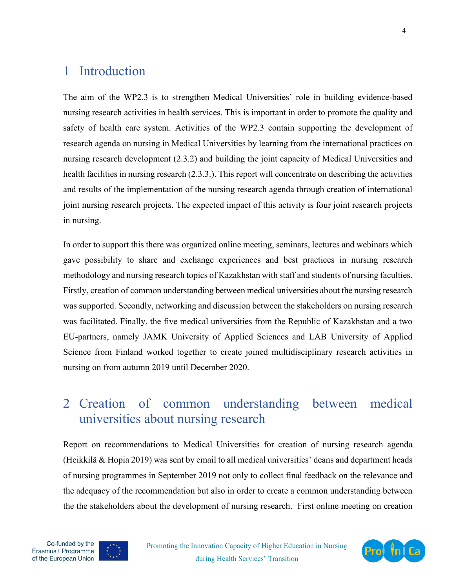## <span id="page-3-0"></span>1 Introduction

The aim of the WP2.3 is to strengthen Medical Universities' role in building evidence-based nursing research activities in health services. This is important in order to promote the quality and safety of health care system. Activities of the WP2.3 contain supporting the development of research agenda on nursing in Medical Universities by learning from the international practices on nursing research development (2.3.2) and building the joint capacity of Medical Universities and health facilities in nursing research (2.3.3.). This report will concentrate on describing the activities and results of the implementation of the nursing research agenda through creation of international joint nursing research projects. The expected impact of this activity is four joint research projects in nursing.

In order to support this there was organized online meeting, seminars, lectures and webinars which gave possibility to share and exchange experiences and best practices in nursing research methodology and nursing research topics of Kazakhstan with staff and students of nursing faculties. Firstly, creation of common understanding between medical universities about the nursing research was supported. Secondly, networking and discussion between the stakeholders on nursing research was facilitated. Finally, the five medical universities from the Republic of Kazakhstan and a two EU-partners, namely JAMK University of Applied Sciences and LAB University of Applied Science from Finland worked together to create joined multidisciplinary research activities in nursing on from autumn 2019 until December 2020.

## <span id="page-3-1"></span>2 Creation of common understanding between medical universities about nursing research

Report on recommendations to Medical Universities for creation of nursing research agenda (Heikkilä & Hopia 2019) was sent by email to all medical universities' deans and department heads of nursing programmes in September 2019 not only to collect final feedback on the relevance and the adequacy of the recommendation but also in order to create a common understanding between the the stakeholders about the development of nursing research. First online meeting on creation



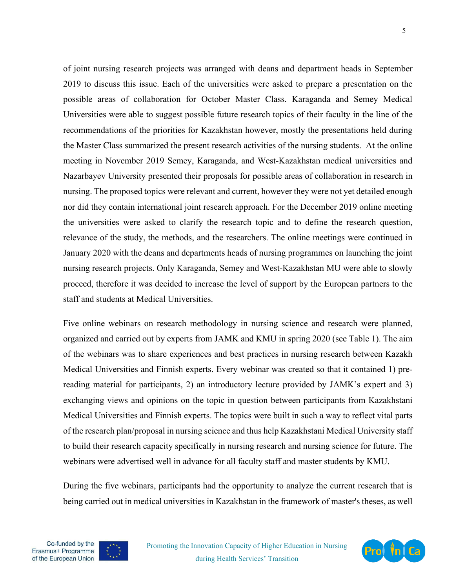of joint nursing research projects was arranged with deans and department heads in September 2019 to discuss this issue. Each of the universities were asked to prepare a presentation on the possible areas of collaboration for October Master Class. Karaganda and Semey Medical Universities were able to suggest possible future research topics of their faculty in the line of the recommendations of the priorities for Kazakhstan however, mostly the presentations held during the Master Class summarized the present research activities of the nursing students. At the online meeting in November 2019 Semey, Karaganda, and West-Kazakhstan medical universities and Nazarbayev University presented their proposals for possible areas of collaboration in research in nursing. The proposed topics were relevant and current, however they were not yet detailed enough nor did they contain international joint research approach. For the December 2019 online meeting the universities were asked to clarify the research topic and to define the research question, relevance of the study, the methods, and the researchers. The online meetings were continued in January 2020 with the deans and departments heads of nursing programmes on launching the joint nursing research projects. Only Karaganda, Semey and West-Kazakhstan MU were able to slowly proceed, therefore it was decided to increase the level of support by the European partners to the staff and students at Medical Universities.

Five online webinars on research methodology in nursing science and research were planned, organized and carried out by experts from JAMK and KMU in spring 2020 (see Table 1). The aim of the webinars was to share experiences and best practices in nursing research between Kazakh Medical Universities and Finnish experts. Every webinar was created so that it contained 1) prereading material for participants, 2) an introductory lecture provided by JAMK's expert and 3) exchanging views and opinions on the topic in question between participants from Kazakhstani Medical Universities and Finnish experts. The topics were built in such a way to reflect vital parts of the research plan/proposal in nursing science and thus help Kazakhstani Medical University staff to build their research capacity specifically in nursing research and nursing science for future. The webinars were advertised well in advance for all faculty staff and master students by KMU.

During the five webinars, participants had the opportunity to analyze the current research that is being carried out in medical universities in Kazakhstan in the framework of master's theses, as well



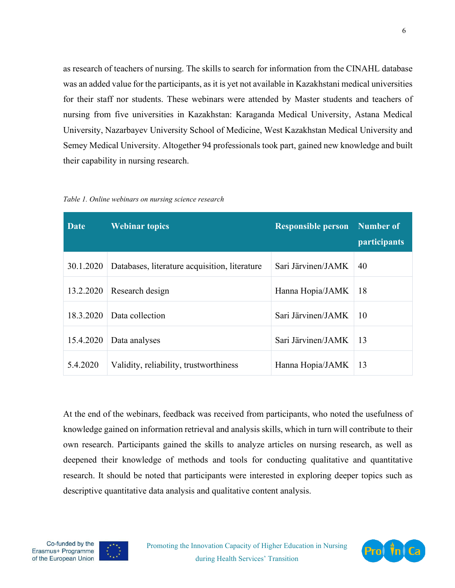as research of teachers of nursing. The skills to search for information from the CINAHL database was an added value for the participants, as it is yet not available in Kazakhstani medical universities for their staff nor students. These webinars were attended by Master students and teachers of nursing from five universities in Kazakhstan: Karaganda Medical University, Astana Medical University, Nazarbayev University School of Medicine, West Kazakhstan Medical University and Semey Medical University. Altogether 94 professionals took part, gained new knowledge and built their capability in nursing research.

| Table 1. Online webinars on nursing science research |  |  |
|------------------------------------------------------|--|--|
|------------------------------------------------------|--|--|

| <b>Date</b> | <b>Webinar topics</b>                         | <b>Responsible person</b> | Number of<br><i>participants</i> |
|-------------|-----------------------------------------------|---------------------------|----------------------------------|
| 30.1.2020   | Databases, literature acquisition, literature | Sari Järvinen/JAMK        | 40                               |
| 13.2.2020   | Research design                               | Hanna Hopia/JAMK          | 18                               |
| 18.3.2020   | Data collection                               | Sari Järvinen/JAMK        | 10                               |
| 15.4.2020   | Data analyses                                 | Sari Järvinen/JAMK        | 13                               |
| 5.4.2020    | Validity, reliability, trustworthiness        | Hanna Hopia/JAMK          | 13                               |

At the end of the webinars, feedback was received from participants, who noted the usefulness of knowledge gained on information retrieval and analysis skills, which in turn will contribute to their own research. Participants gained the skills to analyze articles on nursing research, as well as deepened their knowledge of methods and tools for conducting qualitative and quantitative research. It should be noted that participants were interested in exploring deeper topics such as descriptive quantitative data analysis and qualitative content analysis.



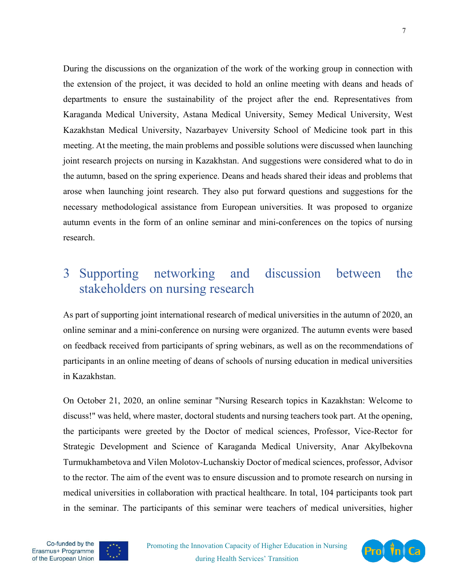During the discussions on the organization of the work of the working group in connection with the extension of the project, it was decided to hold an online meeting with deans and heads of departments to ensure the sustainability of the project after the end. Representatives from Karaganda Medical University, Astana Medical University, Semey Medical University, West Kazakhstan Medical University, Nazarbayev University School of Medicine took part in this meeting. At the meeting, the main problems and possible solutions were discussed when launching joint research projects on nursing in Kazakhstan. And suggestions were considered what to do in the autumn, based on the spring experience. Deans and heads shared their ideas and problems that arose when launching joint research. They also put forward questions and suggestions for the necessary methodological assistance from European universities. It was proposed to organize autumn events in the form of an online seminar and mini-conferences on the topics of nursing research.

## <span id="page-6-0"></span>3 Supporting networking and discussion between the stakeholders on nursing research

As part of supporting joint international research of medical universities in the autumn of 2020, an online seminar and a mini-conference on nursing were organized. The autumn events were based on feedback received from participants of spring webinars, as well as on the recommendations of participants in an online meeting of deans of schools of nursing education in medical universities in Kazakhstan.

On October 21, 2020, an online seminar "Nursing Research topics in Kazakhstan: Welcome to discuss!" was held, where master, doctoral students and nursing teachers took part. At the opening, the participants were greeted by the Doctor of medical sciences, Professor, Vice-Rector for Strategic Development and Science of Karaganda Medical University, Anar Akylbekovna Turmukhambetova and Vilen Molotov-Luchanskiy Doctor of medical sciences, professor, Advisor to the rector. The aim of the event was to ensure discussion and to promote research on nursing in medical universities in collaboration with practical healthcare. In total, 104 participants took part in the seminar. The participants of this seminar were teachers of medical universities, higher





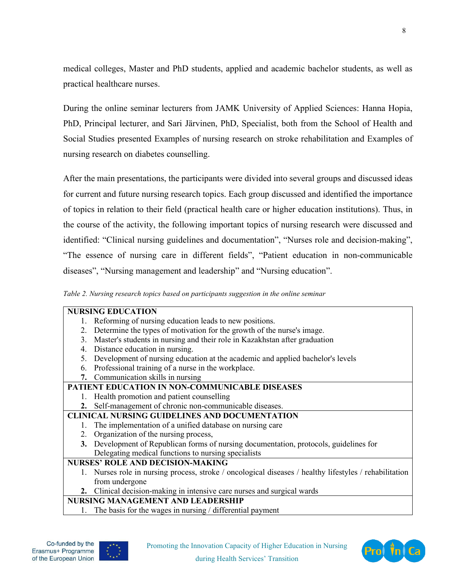medical colleges, Master and PhD students, applied and academic bachelor students, as well as practical healthcare nurses.

During the online seminar lecturers from JAMK University of Applied Sciences: Hanna Hopia, PhD, Principal lecturer, and Sari Järvinen, PhD, Specialist, both from the School of Health and Social Studies presented Examples of nursing research on stroke rehabilitation and Examples of nursing research on diabetes counselling.

After the main presentations, the participants were divided into several groups and discussed ideas for current and future nursing research topics. Each group discussed and identified the importance of topics in relation to their field (practical health care or higher education institutions). Thus, in the course of the activity, the following important topics of nursing research were discussed and identified: "Clinical nursing guidelines and documentation", "Nurses role and decision-making", "The essence of nursing care in different fields", "Patient education in non-communicable diseases", "Nursing management and leadership" and "Nursing education".

*Table 2. Nursing research topics based on participants suggestion in the online seminar*

|                                                      | <b>NURSING EDUCATION</b>                                                                               |
|------------------------------------------------------|--------------------------------------------------------------------------------------------------------|
|                                                      | 1. Reforming of nursing education leads to new positions.                                              |
|                                                      | 2. Determine the types of motivation for the growth of the nurse's image.                              |
|                                                      | 3. Master's students in nursing and their role in Kazakhstan after graduation                          |
|                                                      | 4. Distance education in nursing.                                                                      |
|                                                      | 5. Development of nursing education at the academic and applied bachelor's levels                      |
|                                                      | 6. Professional training of a nurse in the workplace.                                                  |
|                                                      | 7. Communication skills in nursing                                                                     |
|                                                      | PATIENT EDUCATION IN NON-COMMUNICABLE DISEASES                                                         |
|                                                      | 1. Health promotion and patient counselling                                                            |
|                                                      | 2. Self-management of chronic non-communicable diseases.                                               |
| <b>CLINICAL NURSING GUIDELINES AND DOCUMENTATION</b> |                                                                                                        |
|                                                      | The implementation of a unified database on nursing care                                               |
|                                                      | 2. Organization of the nursing process,                                                                |
|                                                      | 3. Development of Republican forms of nursing documentation, protocols, guidelines for                 |
|                                                      | Delegating medical functions to nursing specialists                                                    |
|                                                      | <b>NURSES' ROLE AND DECISION-MAKING</b>                                                                |
|                                                      | 1. Nurses role in nursing process, stroke / oncological diseases / healthy lifestyles / rehabilitation |
|                                                      | from undergone                                                                                         |
|                                                      | 2. Clinical decision-making in intensive care nurses and surgical wards                                |
| <b>NURSING MANAGEMENT AND LEADERSHIP</b>             |                                                                                                        |
|                                                      |                                                                                                        |

The basis for the wages in nursing  $\ell$  differential payment



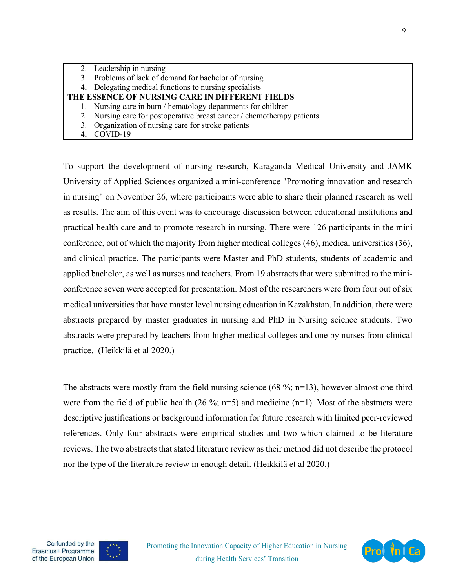| 2. Leadership in nursing                                                |
|-------------------------------------------------------------------------|
| 3. Problems of lack of demand for bachelor of nursing                   |
| 4. Delegating medical functions to nursing specialists                  |
| THE ESSENCE OF NURSING CARE IN DIFFERENT FIELDS                         |
| 1. Nursing care in burn / hematology departments for children           |
| 2. Nursing care for postoperative breast cancer / chemotherapy patients |
| 3. Organization of nursing care for stroke patients                     |
| 4. COVID-19                                                             |

To support the development of nursing research, Karaganda Medical University and JAMK University of Applied Sciences organized a mini-conference "Promoting innovation and research in nursing" on November 26, where participants were able to share their planned research as well as results. The aim of this event was to encourage discussion between educational institutions and practical health care and to promote research in nursing. There were 126 participants in the mini conference, out of which the majority from higher medical colleges (46), medical universities (36), and clinical practice. The participants were Master and PhD students, students of academic and applied bachelor, as well as nurses and teachers. From 19 abstracts that were submitted to the miniconference seven were accepted for presentation. Most of the researchers were from four out of six medical universities that have master level nursing education in Kazakhstan. In addition, there were abstracts prepared by master graduates in nursing and PhD in Nursing science students. Two abstracts were prepared by teachers from higher medical colleges and one by nurses from clinical practice. (Heikkilä et al 2020.)

The abstracts were mostly from the field nursing science  $(68\%; n=13)$ , however almost one third were from the field of public health (26 %; n=5) and medicine (n=1). Most of the abstracts were descriptive justifications or background information for future research with limited peer-reviewed references. Only four abstracts were empirical studies and two which claimed to be literature reviews. The two abstracts that stated literature review as their method did not describe the protocol nor the type of the literature review in enough detail. (Heikkilä et al 2020.)



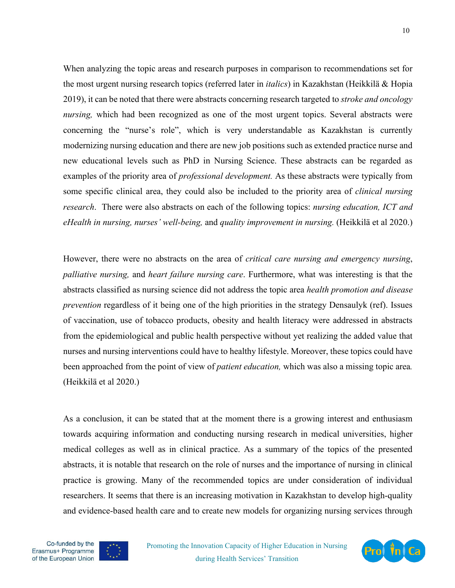When analyzing the topic areas and research purposes in comparison to recommendations set for the most urgent nursing research topics (referred later in *italics*) in Kazakhstan (Heikkilä & Hopia 2019), it can be noted that there were abstracts concerning research targeted to *stroke and oncology nursing*, which had been recognized as one of the most urgent topics. Several abstracts were concerning the "nurse's role", which is very understandable as Kazakhstan is currently modernizing nursing education and there are new job positions such as extended practice nurse and new educational levels such as PhD in Nursing Science. These abstracts can be regarded as examples of the priority area of *professional development.* As these abstracts were typically from some specific clinical area, they could also be included to the priority area of *clinical nursing research*. There were also abstracts on each of the following topics: *nursing education, ICT and eHealth in nursing, nurses' well-being,* and *quality improvement in nursing.* (Heikkilä et al 2020.)

However, there were no abstracts on the area of *critical care nursing and emergency nursing*, *palliative nursing,* and *heart failure nursing care*. Furthermore, what was interesting is that the abstracts classified as nursing science did not address the topic area *health promotion and disease prevention* regardless of it being one of the high priorities in the strategy Densaulyk (ref). Issues of vaccination, use of tobacco products, obesity and health literacy were addressed in abstracts from the epidemiological and public health perspective without yet realizing the added value that nurses and nursing interventions could have to healthy lifestyle. Moreover, these topics could have been approached from the point of view of *patient education,* which was also a missing topic area*.* (Heikkilä et al 2020.)

As a conclusion, it can be stated that at the moment there is a growing interest and enthusiasm towards acquiring information and conducting nursing research in medical universities, higher medical colleges as well as in clinical practice. As a summary of the topics of the presented abstracts, it is notable that research on the role of nurses and the importance of nursing in clinical practice is growing. Many of the recommended topics are under consideration of individual researchers. It seems that there is an increasing motivation in Kazakhstan to develop high-quality and evidence-based health care and to create new models for organizing nursing services through





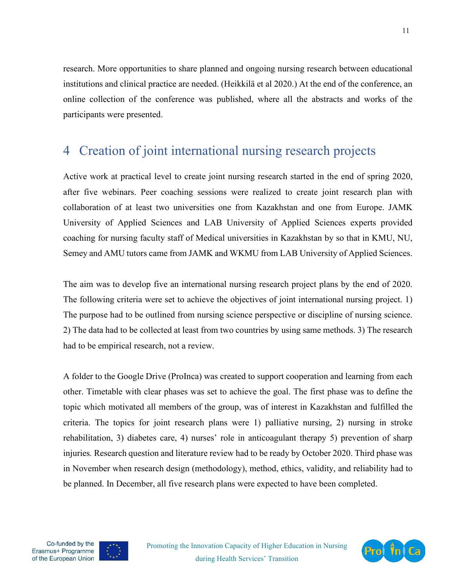research. More opportunities to share planned and ongoing nursing research between educational institutions and clinical practice are needed. (Heikkilä et al 2020.) At the end of the conference, an online collection of the conference was published, where all the abstracts and works of the participants were presented.

#### <span id="page-10-0"></span>4 Creation of joint international nursing research projects

Active work at practical level to create joint nursing research started in the end of spring 2020, after five webinars. Peer coaching sessions were realized to create joint research plan with collaboration of at least two universities one from Kazakhstan and one from Europe. JAMK University of Applied Sciences and LAB University of Applied Sciences experts provided coaching for nursing faculty staff of Medical universities in Kazakhstan by so that in KMU, NU, Semey and AMU tutors came from JAMK and WKMU from LAB University of Applied Sciences.

The aim was to develop five an international nursing research project plans by the end of 2020. The following criteria were set to achieve the objectives of joint international nursing project. 1) The purpose had to be outlined from nursing science perspective or discipline of nursing science. 2) The data had to be collected at least from two countries by using same methods. 3) The research had to be empirical research, not a review.

A folder to the Google Drive (ProInca) was created to support cooperation and learning from each other. Timetable with clear phases was set to achieve the goal. The first phase was to define the topic which motivated all members of the group, was of interest in Kazakhstan and fulfilled the criteria. The topics for joint research plans were 1) palliative nursing, 2) nursing in stroke rehabilitation, 3) diabetes care, 4) nurses' role in anticoagulant therapy 5) prevention of sharp injuries*.* Research question and literature review had to be ready by October 2020. Third phase was in November when research design (methodology), method, ethics, validity, and reliability had to be planned. In December, all five research plans were expected to have been completed.





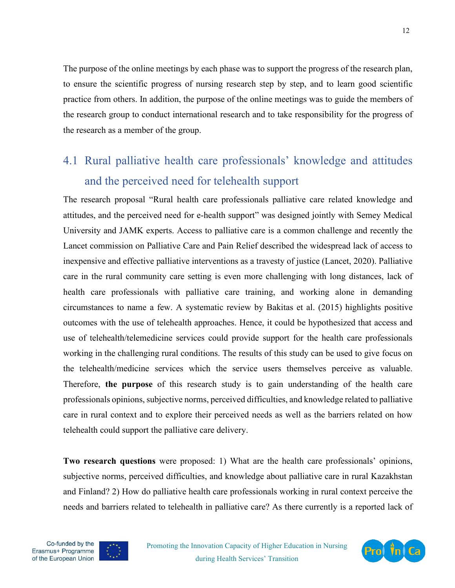The purpose of the online meetings by each phase was to support the progress of the research plan, to ensure the scientific progress of nursing research step by step, and to learn good scientific practice from others. In addition, the purpose of the online meetings was to guide the members of the research group to conduct international research and to take responsibility for the progress of the research as a member of the group.

## <span id="page-11-0"></span>4.1 Rural palliative health care professionals' knowledge and attitudes and the perceived need for telehealth support

The research proposal "Rural health care professionals palliative care related knowledge and attitudes, and the perceived need for e-health support" was designed jointly with Semey Medical University and JAMK experts. Access to palliative care is a common challenge and recently the Lancet commission on Palliative Care and Pain Relief described the widespread lack of access to inexpensive and effective palliative interventions as a [travesty of justice](https://www.thelancet.com/commissions/palliative-care) (Lancet, 2020). Palliative care in the rural community care setting is even more challenging with long distances, lack of health care professionals with palliative care training, and working alone in demanding circumstances to name a few. A systematic review by Bakitas et al. (2015) highlights positive outcomes with the use of telehealth approaches. Hence, it could be hypothesized that access and use of telehealth/telemedicine services could provide support for the health care professionals working in the challenging rural conditions. The results of this study can be used to give focus on the telehealth/medicine services which the service users themselves perceive as valuable. Therefore, **the purpose** of this research study is to gain understanding of the health care professionals opinions, subjective norms, perceived difficulties, and knowledge related to palliative care in rural context and to explore their perceived needs as well as the barriers related on how telehealth could support the palliative care delivery.

**Two research questions** were proposed: 1) What are the health care professionals' opinions, subjective norms, perceived difficulties, and knowledge about palliative care in rural Kazakhstan and Finland? 2) How do palliative health care professionals working in rural context perceive the needs and barriers related to telehealth in palliative care? As there currently is a reported lack of





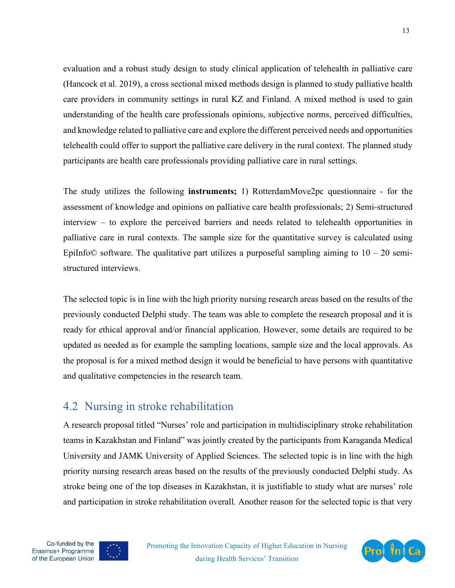evaluation and a robust study design to study clinical application of telehealth in palliative care (Hancock et al. 2019), a cross sectional mixed methods design is planned to study palliative health care providers in community settings in rural KZ and Finland. A mixed method is used to gain understanding of the health care professionals opinions, subjective norms, perceived difficulties, and knowledge related to palliative care and explore the different perceived needs and opportunities telehealth could offer to support the palliative care delivery in the rural context. The planned study participants are health care professionals providing palliative care in rural settings.

The study utilizes the following **instruments;** 1) RotterdamMove2pc questionnaire - for the assessment of knowledge and opinions on palliative care health professionals; 2) Semi-structured interview – to explore the perceived barriers and needs related to telehealth opportunities in palliative care in rural contexts. The sample size for the quantitative survey is calculated using EpiInfo© software. The qualitative part utilizes a purposeful sampling aiming to  $10 - 20$  semistructured interviews.

The selected topic is in line with the high priority nursing research areas based on the results of the previously conducted Delphi study. The team was able to complete the research proposal and it is ready for ethical approval and/or financial application. However, some details are required to be updated as needed as for example the sampling locations, sample size and the local approvals. As the proposal is for a mixed method design it would be beneficial to have persons with quantitative and qualitative competencies in the research team.

#### <span id="page-12-0"></span>4.2 Nursing in stroke rehabilitation

A research proposal titled "Nurses' role and participation in multidisciplinary stroke rehabilitation teams in Kazakhstan and Finland" was jointly created by the participants from Karaganda Medical University and JAMK University of Applied Sciences. The selected topic is in line with the high priority nursing research areas based on the results of the previously conducted Delphi study. As stroke being one of the top diseases in Kazakhstan, it is justifiable to study what are nurses' role and participation in stroke rehabilitation overall. Another reason for the selected topic is that very



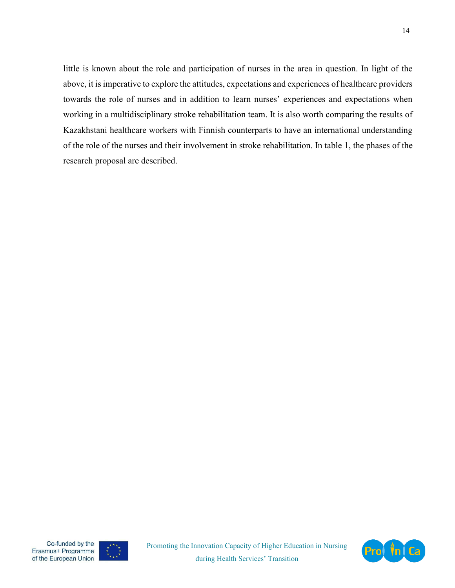little is known about the role and participation of nurses in the area in question. In light of the above, it is imperative to explore the attitudes, expectations and experiences of healthcare providers towards the role of nurses and in addition to learn nurses' experiences and expectations when working in a multidisciplinary stroke rehabilitation team. It is also worth comparing the results of Kazakhstani healthcare workers with Finnish counterparts to have an international understanding of the role of the nurses and their involvement in stroke rehabilitation. In table 1, the phases of the research proposal are described.



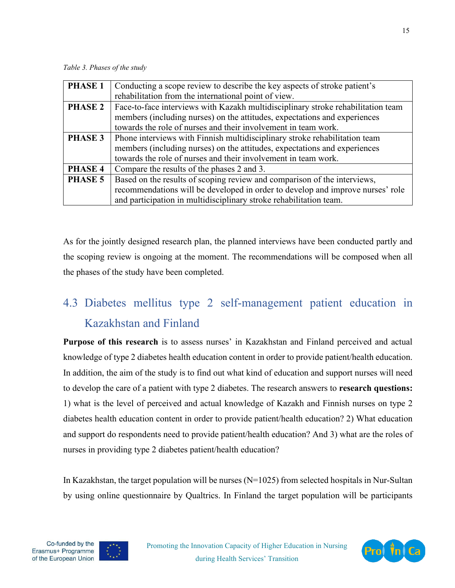*Table 3. Phases of the study*

| <b>PHASE 1</b> | Conducting a scope review to describe the key aspects of stroke patient's        |  |
|----------------|----------------------------------------------------------------------------------|--|
|                | rehabilitation from the international point of view.                             |  |
| <b>PHASE 2</b> | Face-to-face interviews with Kazakh multidisciplinary stroke rehabilitation team |  |
|                | members (including nurses) on the attitudes, expectations and experiences        |  |
|                | towards the role of nurses and their involvement in team work.                   |  |
| <b>PHASE 3</b> | Phone interviews with Finnish multidisciplinary stroke rehabilitation team       |  |
|                | members (including nurses) on the attitudes, expectations and experiences        |  |
|                | towards the role of nurses and their involvement in team work.                   |  |
| PHASE 4        | Compare the results of the phases 2 and 3.                                       |  |
| <b>PHASE 5</b> | Based on the results of scoping review and comparison of the interviews,         |  |
|                | recommendations will be developed in order to develop and improve nurses' role   |  |
|                | and participation in multidisciplinary stroke rehabilitation team.               |  |

As for the jointly designed research plan, the planned interviews have been conducted partly and the scoping review is ongoing at the moment. The recommendations will be composed when all the phases of the study have been completed.

# <span id="page-14-0"></span>4.3 Diabetes mellitus type 2 self-management patient education in Kazakhstan and Finland

**Purpose of this research** is to assess nurses' in Kazakhstan and Finland perceived and actual knowledge of type 2 diabetes health education content in order to provide patient/health education. In addition, the aim of the study is to find out what kind of education and support nurses will need to develop the care of a patient with type 2 diabetes. The research answers to **research questions:** 1) what is the level of perceived and actual knowledge of Kazakh and Finnish nurses on type 2 diabetes health education content in order to provide patient/health education? 2) What education and support do respondents need to provide patient/health education? And 3) what are the roles of nurses in providing type 2 diabetes patient/health education?

In Kazakhstan, the target population will be nurses  $(N=1025)$  from selected hospitals in Nur-Sultan by using online questionnaire by Qualtrics. In Finland the target population will be participants



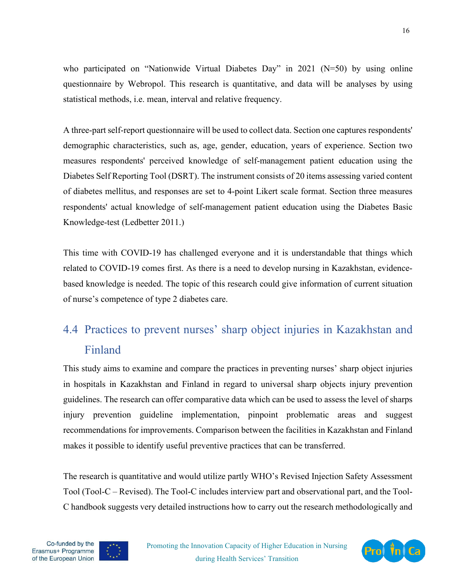who participated on "Nationwide Virtual Diabetes Day" in 2021 (N=50) by using online questionnaire by Webropol. This research is quantitative, and data will be analyses by using statistical methods, i.e. mean, interval and relative frequency.

A three-part self-report questionnaire will be used to collect data. Section one captures respondents' demographic characteristics, such as, age, gender, education, years of experience. Section two measures respondents' perceived knowledge of self-management patient education using the Diabetes Self Reporting Tool (DSRT). The instrument consists of 20 items assessing varied content of diabetes mellitus, and responses are set to 4-point Likert scale format. Section three measures respondents' actual knowledge of self-management patient education using the Diabetes Basic Knowledge-test (Ledbetter 2011.)

This time with COVID-19 has challenged everyone and it is understandable that things which related to COVID-19 comes first. As there is a need to develop nursing in Kazakhstan, evidencebased knowledge is needed. The topic of this research could give information of current situation of nurse's competence of type 2 diabetes care.

# <span id="page-15-0"></span>4.4 Practices to prevent nurses' sharp object injuries in Kazakhstan and Finland

This study aims to examine and compare the practices in preventing nurses' sharp object injuries in hospitals in Kazakhstan and Finland in regard to universal sharp objects injury prevention guidelines. The research can offer comparative data which can be used to assess the level of sharps injury prevention guideline implementation, pinpoint problematic areas and suggest recommendations for improvements. Comparison between the facilities in Kazakhstan and Finland makes it possible to identify useful preventive practices that can be transferred.

The research is quantitative and would utilize partly WHO's Revised Injection Safety Assessment Tool (Tool-C – Revised). The Tool-C includes interview part and observational part, and the Tool-C handbook suggests very detailed instructions how to carry out the research methodologically and



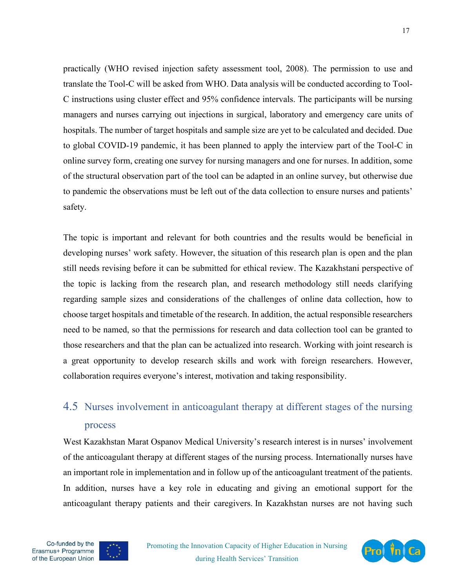practically (WHO revised injection safety assessment tool, 2008). The permission to use and translate the Tool-C will be asked from WHO. Data analysis will be conducted according to Tool-C instructions using cluster effect and 95% confidence intervals. The participants will be nursing managers and nurses carrying out injections in surgical, laboratory and emergency care units of hospitals. The number of target hospitals and sample size are yet to be calculated and decided. Due to global COVID-19 pandemic, it has been planned to apply the interview part of the Tool-C in online survey form, creating one survey for nursing managers and one for nurses. In addition, some of the structural observation part of the tool can be adapted in an online survey, but otherwise due to pandemic the observations must be left out of the data collection to ensure nurses and patients' safety.

The topic is important and relevant for both countries and the results would be beneficial in developing nurses' work safety. However, the situation of this research plan is open and the plan still needs revising before it can be submitted for ethical review. The Kazakhstani perspective of the topic is lacking from the research plan, and research methodology still needs clarifying regarding sample sizes and considerations of the challenges of online data collection, how to choose target hospitals and timetable of the research. In addition, the actual responsible researchers need to be named, so that the permissions for research and data collection tool can be granted to those researchers and that the plan can be actualized into research. Working with joint research is a great opportunity to develop research skills and work with foreign researchers. However, collaboration requires everyone's interest, motivation and taking responsibility.

## <span id="page-16-0"></span>4.5 Nurses involvement in anticoagulant therapy at different stages of the nursing process

West Kazakhstan Marat Ospanov Medical University's research interest is in nurses' involvement of the anticoagulant therapy at different stages of the nursing process. Internationally nurses have an important role in implementation and in follow up of the anticoagulant treatment of the patients. In addition, nurses have a key role in educating and giving an emotional support for the anticoagulant therapy patients and their caregivers. In Kazakhstan nurses are not having such





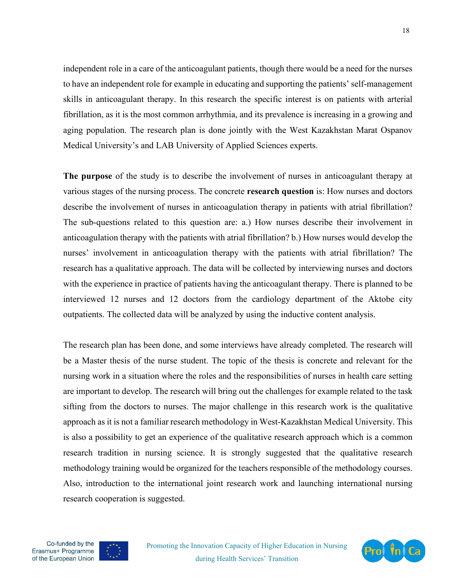independent role in a care of the anticoagulant patients, though there would be a need for the nurses to have an independent role for example in educating and supporting the patients' self-management skills in anticoagulant therapy. In this research the specific interest is on patients with arterial fibrillation, as it is the most common arrhythmia, and its prevalence is increasing in a growing and aging population. The research plan is done jointly with the West Kazakhstan Marat Ospanov Medical University's and LAB University of Applied Sciences experts.

**The purpose** of the study is to describe the involvement of nurses in anticoagulant therapy at various stages of the nursing process. The concrete **research question** is: How nurses and doctors describe the involvement of nurses in anticoagulation therapy in patients with atrial fibrillation? The sub-questions related to this question are: a.) How nurses describe their involvement in anticoagulation therapy with the patients with atrial fibrillation? b.) How nurses would develop the nurses' involvement in anticoagulation therapy with the patients with atrial fibrillation? The research has a qualitative approach. The data will be collected by interviewing nurses and doctors with the experience in practice of patients having the anticoagulant therapy. There is planned to be interviewed 12 nurses and 12 doctors from the cardiology department of the Aktobe city outpatients. The collected data will be analyzed by using the inductive content analysis.

The research plan has been done, and some interviews have already completed. The research will be a Master thesis of the nurse student. The topic of the thesis is concrete and relevant for the nursing work in a situation where the roles and the responsibilities of nurses in health care setting are important to develop. The research will bring out the challenges for example related to the task sifting from the doctors to nurses. The major challenge in this research work is the qualitative approach as it is not a familiar research methodology in West-Kazakhstan Medical University. This is also a possibility to get an experience of the qualitative research approach which is a common research tradition in nursing science. It is strongly suggested that the qualitative research methodology training would be organized for the teachers responsible of the methodology courses. Also, introduction to the international joint research work and launching international nursing research cooperation is suggested.





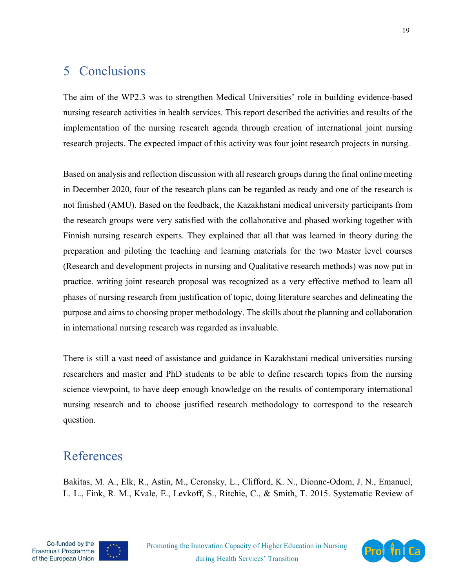## <span id="page-18-0"></span>5 Conclusions

The aim of the WP2.3 was to strengthen Medical Universities' role in building evidence-based nursing research activities in health services. This report described the activities and results of the implementation of the nursing research agenda through creation of international joint nursing research projects. The expected impact of this activity was four joint research projects in nursing.

Based on analysis and reflection discussion with all research groups during the final online meeting in December 2020, four of the research plans can be regarded as ready and one of the research is not finished (AMU). Based on the feedback, the Kazakhstani medical university participants from the research groups were very satisfied with the collaborative and phased working together with Finnish nursing research experts. They explained that all that was learned in theory during the preparation and piloting the teaching and learning materials for the two Master level courses (Research and development projects in nursing and Qualitative research methods) was now put in practice. writing joint research proposal was recognized as a very effective method to learn all phases of nursing research from justification of topic, doing literature searches and delineating the purpose and aims to choosing proper methodology. The skills about the planning and collaboration in international nursing research was regarded as invaluable.

There is still a vast need of assistance and guidance in Kazakhstani medical universities nursing researchers and master and PhD students to be able to define research topics from the nursing science viewpoint, to have deep enough knowledge on the results of contemporary international nursing research and to choose justified research methodology to correspond to the research question.

## <span id="page-18-1"></span>References

Bakitas, M. A., Elk, R., Astin, M., Ceronsky, L., Clifford, K. N., Dionne-Odom, J. N., Emanuel, L. L., Fink, R. M., Kvale, E., Levkoff, S., Ritchie, C., & Smith, T. 2015. Systematic Review of